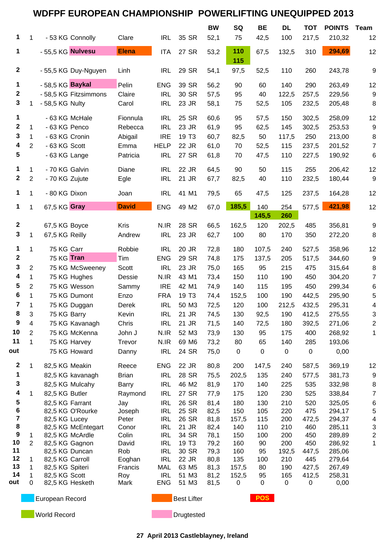## **WDFPF EUROPEAN CHAMPIONSHIP POWERLIFTING UNEQUIPPED 2013**

|                  |                |                                   |                 |                          |                   | <b>BW</b>    | SQ           | <b>BE</b>         | <b>DL</b>           | <b>TOT</b>   | <b>POINTS</b>    | Team           |
|------------------|----------------|-----------------------------------|-----------------|--------------------------|-------------------|--------------|--------------|-------------------|---------------------|--------------|------------------|----------------|
| 1                | $\mathbf{1}$   | - 53 KG Connolly                  | Clare           | <b>IRL</b>               | 35 SR             | 52,1         | 75           | 42,5              | 100                 | 217,5        | 210,32           | 12             |
| 1                |                | - 55,5 KG Nulvesu                 | <b>Elena</b>    | <b>ITA</b>               | 27 SR             | 53,2         | 110<br>115   | 67,5              | 132,5               | 310          | 294,69           | 12             |
| $\mathbf{2}$     |                | - 55,5 KG Duy-Nguyen              | Linh            | <b>IRL</b>               | 29 SR             | 54,1         | 97,5         | 52,5              | 110                 | 260          | 243,78           | 9              |
| 1                |                | - 58,5 KG Baykal                  | Pelin           | <b>ENG</b>               | 39 SR             | 56,2         | 90           | 60                | 140                 | 290          | 263,49           | 12             |
| 2                |                | - 58,5 KG Fitzsimmons             | Claire          | <b>IRL</b>               | 30 SR             | 57,5         | 95           | 40                | 122,5               | 257,5        | 229,56           | 9              |
| 3                |                | - 58,5 KG Nulty                   | Carol           | <b>IRL</b>               | 23 JR             | 58,1         | 75           | 52,5              | 105                 | 232,5        | 205,48           | 8              |
| 1                |                | - 63 KG McHale                    | Fionnula        | <b>IRL</b>               | 25 SR             | 60,6         | 95           | 57,5              | 150                 | 302,5        | 258,09           | 12             |
| 2                | $\mathbf 1$    | - 63 KG Penco                     | Rebecca         | <b>IRL</b>               | 23 JR             | 61,9         | 95           | 62,5              | 145                 | 302,5        | 253,53           | 9              |
| 3                | $\mathbf{1}$   | - 63 KG Cronin                    | Abigail         | <b>IRE</b>               | 19 T <sub>3</sub> | 60,7         | 82,5         | 50                | 117,5               | 250          | 213,00           | 8              |
| 4                | $\overline{2}$ | - 63 KG Scott                     | Emma            | <b>HELP</b>              | 22 JR             | 61,0         | 70           | 52,5              | 115                 | 237,5        | 201,52           | $\overline{7}$ |
| 5                |                | - 63 KG Lange                     | Patricia        | <b>IRL</b>               | 27 SR             | 61,8         | 70           | 47,5              | 110                 | 227,5        | 190,92           | 6              |
| 1                | 1              | - 70 KG Galvin                    | Diane           | <b>IRL</b>               | 22 JR             | 64,5         | 90           | 50                | 115                 | 255          | 206,42           | 12             |
| $\mathbf{2}$     | $\overline{c}$ | - 70 KG Zujute                    | Egle            | <b>IRL</b>               | 21 JR             | 67,7         | 82,5         | 40                | 110                 | 232,5        | 180,44           | 9              |
| 1                | $\mathbf 1$    | - 80 KG Dixon                     | Joan            | <b>IRL</b>               | 41 M1             | 79,5         | 65           | 47,5              | 125                 | 237,5        | 164,28           | 12             |
| 1                | $\mathbf 1$    | 67,5 KG Gray                      | <b>David</b>    | <b>ENG</b>               | 49 M2             | 67,0         | 185,5        | 140               | 254                 | 577,5        | 421,98           | 12             |
|                  |                |                                   |                 |                          |                   |              |              | 145,5             | 260                 |              |                  |                |
| $\mathbf{2}$     |                | 67,5 KG Boyce                     | <b>Kris</b>     | N.IR                     | 28 SR             | 66,5         | 162,5        | 120               | 202,5               | 485          | 356,81           | 9              |
| 3                | 1              | 67,5 KG Reilly                    | Andrew          | <b>IRL</b>               | 23 JR             | 62,7         | 100          | 80                | 170                 | 350          | 272,20           | 8              |
| 1                | $\mathbf 1$    | 75 KG Carr                        | Robbie          | <b>IRL</b>               | 20 JR             | 72,8         | 180          | 107,5             | 240                 | 527,5        | 358,96           | 12             |
| 2                |                | 75 KG Tran                        | Tim             | <b>ENG</b>               | 29 SR             | 74,8         | 175          | 137,5             | 205                 | 517,5        | 344,60           | 9              |
| 3                | $\overline{c}$ | 75 KG McSweeney                   | Scott           | <b>IRL</b>               | 23 JR             | 75,0         | 165          | 95                | 215                 | 475          | 315,64           | 8              |
| 4                | 1              | 75 KG Hughes                      | Dessie          | N.IR                     | 43 M1             | 73,4         | 150          | 110               | 190                 | 450          | 304,20           | 7              |
| 5                | $\overline{2}$ | 75 KG Wesson                      | Sammy           | <b>IRE</b>               | 42 M1             | 74,9         | 140          | 115               | 195                 | 450          | 299,34           | 6              |
| 6                | 1              | 75 KG Dumont                      | Enzo            | <b>FRA</b>               | 19 T <sub>3</sub> | 74,4         | 152,5        | 100               | 190                 | 442,5        | 295,90           | 5              |
| 7                | 1              | 75 KG Duggan                      | Derek           | <b>IRL</b>               | 50 M3             | 72,5         | 120          | 100               | 212,5               | 432,5        | 295,31           | 4              |
| 8                | 3              | 75 KG Barry                       | Kevin           | <b>IRL</b>               | 21 JR             | 74,5         | 130          | 92,5              | 190                 | 412,5        | 275,55           | 3              |
| 9                | 4              | 75 KG Kavanagh                    | Chris           | <b>IRL</b>               | 21 JR             | 71,5         | 140          | 72,5              | 180                 | 392,5        | 271,06           | 2              |
| 10               | $\overline{2}$ | 75 KG McKenna                     | John J          | N.IR                     | 52 M3             | 73,9         | 130          | 95                | 175                 | 400          | 268,92           | 1              |
| 11               | 1              | 75 KG Harvey                      | Trevor          | N.IR                     | 69 M6             | 73,2         | 80           | 65                | 140                 | 285          | 193,06           |                |
| out              |                | 75 KG Howard                      | Danny           | <b>IRL</b>               | 24 SR             | 75,0         | $\pmb{0}$    | $\mathbf 0$       | $\mathbf 0$         | 0            | 0,00             |                |
| $\boldsymbol{2}$ | $\mathbf{1}$   | 82,5 KG Meakin                    | Reece           | <b>ENG</b>               | 22 JR             | 80,8         | 200          | 147,5             | 240                 | 587,5        | 369,19           | 12             |
| 1                |                | 82,5 KG kavanagh                  | <b>Brian</b>    | <b>IRL</b>               | 28 SR             | 75,5         | 202,5        | 135               | 240                 | 577,5        | 381,73           | 9              |
| 3                |                | 82,5 KG Mulcahy                   | <b>Barry</b>    | <b>IRL</b>               | 46 M2             | 81,9         | 170          | 140               | 225                 | 535          | 332,98           | 8              |
| 4                | 1              | 82,5 KG Butler                    | Raymond         | <b>IRL</b>               | 27 SR             | 77,9         | 175          | 120               | 230                 | 525          | 338,84           | 7              |
| 5                |                | 82,5 KG Farrant                   | Jay             | <b>IRL</b>               | 26 SR             | 81,4         | 180          | 130               | 210                 | 520          | 325,05           | 6              |
| 6<br>7           |                | 82,5 KG O'Rourke<br>82,5 KG Lucey | Joseph<br>Peter | <b>IRL</b><br><b>IRL</b> | 25 SR<br>26 SR    | 82,5         | 150          | 105<br>115        | 220<br>200          | 475<br>472,5 | 294,17           | 5              |
| 8                |                | 82,5 KG McEntegart                | Conor           | <b>IRL</b>               | 21 JR             | 81,8<br>82,4 | 157,5<br>140 | 110               | 210                 | 460          | 294,37<br>285,11 | 4<br>3         |
| 9                | 1              | 82,5 KG McArdle                   | Colin           | <b>IRL</b>               | 34 SR             | 78,1         | 150          | 100               | 200                 | 450          | 289,89           | $\overline{c}$ |
| 10               | $\overline{2}$ | 82,5 KG Gagnon                    | David           | <b>IRL</b>               | 19 T <sub>3</sub> | 79,2         | 160          | 90                | 200                 | 450          | 286,92           | 1              |
| 11               |                | 82,5 KG Duncan                    | Rob             | <b>IRL</b>               | 30 SR             | 79,3         | 160          | 95                | 192,5               | 447,5        | 285,06           |                |
| 12               | 1              | 82,5 KG Carroll                   | Eoghan          | <b>IRL</b>               | 22 JR             | 80,8         | 135          | 100               | 210                 | 445          | 279,64           |                |
| 13               | 1              | 82,5 KG Spiteri                   | Francis         | <b>MAL</b>               | 63 M <sub>5</sub> | 81,3         | 157,5        | 80                | 190                 | 427,5        | 267,49           |                |
| 14<br>out        | 1<br>0         | 82,5 KG Scott<br>82,5 KG Hesketh  | Roy<br>Mark     | <b>IRL</b><br><b>ENG</b> | 51 M3<br>51 M3    | 81,2<br>81,5 | 152,5<br>0   | 95<br>$\mathbf 0$ | 165<br>$\mathbf{0}$ | 412,5<br>0   | 258,31<br>0,00   |                |
|                  |                |                                   |                 |                          |                   |              |              |                   |                     |              |                  |                |

**European Record Best Lifter POS** 

**World Record Drugtested Drugtested** 

**27 April 2013 Castleblayney, Ireland**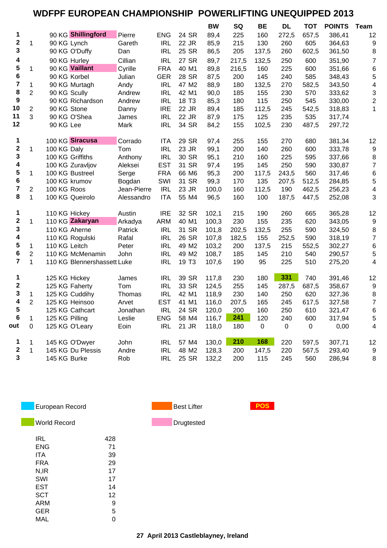## **WDFPF EUROPEAN CHAMPIONSHIP POWERLIFTING UNEQUIPPED 2013**

|                         |                         |                             |             |            |                   | <b>BW</b> | SQ    | BE          | <b>DL</b>   | <b>TOT</b>  | <b>POINTS</b> | Team                    |
|-------------------------|-------------------------|-----------------------------|-------------|------------|-------------------|-----------|-------|-------------|-------------|-------------|---------------|-------------------------|
| 1                       |                         | 90 KG Shillingford          | Pierre      | <b>ENG</b> | 24 SR             | 89,4      | 225   | 160         | 272,5       | 657,5       | 386,41        | 12                      |
| 2                       | 1                       | 90 KG Lynch                 | Gareth      | <b>IRL</b> | 22 JR             | 85,9      | 215   | 130         | 260         | 605         | 364,63        | 9                       |
| 3                       |                         | 90 KG O'Duffy               | Dan         | <b>IRL</b> | 25 SR             | 86,5      | 205   | 137,5       | 260         | 602,5       | 361,50        | 8                       |
| 4                       |                         | 90 KG Hurley                | Cillian     | <b>IRL</b> | 27 SR             | 89,7      | 217,5 | 132,5       | 250         | 600         | 351,90        | $\overline{7}$          |
| 5                       | 1                       | 90 KG Vaillant              | Cyrille     | <b>FRA</b> | 40 M1             | 89,8      | 216,5 | 160         | 225         | 600         | 351,66        | 6                       |
| 6                       |                         | 90 KG Korbel                | Julian      | <b>GER</b> | 28 SR             | 87,5      | 200   | 145         | 240         | 585         | 348,43        | 5                       |
| $\overline{\mathbf{r}}$ | $\mathbf{1}$            | 90 KG Murtagh               | Andy        | <b>IRL</b> | 47 M2             | 88,9      | 180   | 132,5       | 270         | 582,5       | 343,50        | 4                       |
| 8                       | $\overline{2}$          | 90 KG Scully                | Andrew      | <b>IRL</b> | 42 M1             | 90,0      | 185   | 155         | 230         | 570         | 333,62        | 3                       |
| 9                       |                         | 90 KG Richardson            | Andrew      | <b>IRL</b> | 18 T <sub>3</sub> | 85,3      | 180   | 115         | 250         | 545         | 330,00        | $\overline{\mathbf{c}}$ |
| 10                      | $\overline{c}$          | 90 KG Stone                 | Danny       | <b>IRE</b> | 22 JR             | 89,4      | 185   | 112,5       | 245         | 542,5       | 318,83        | 1                       |
| 11                      | 3                       | 90 KG O'Shea                | James       | <b>IRL</b> | 22 JR             | 87,9      | 175   | 125         | 235         | 535         | 317,74        |                         |
| 12                      |                         | 90 KG Lee                   | Mark        | <b>IRL</b> | 34 SR             | 84,2      | 155   | 102,5       | 230         | 487,5       | 297,72        |                         |
| 1                       |                         | 100 KG Siracusa             | Corrado     | ITA        | 29 SR             | 97,4      | 255   | 155         | 270         | 680         | 381,34        | 12                      |
| $\mathbf 2$             | 1                       | 100 KG Daly                 | Tom         | <b>IRL</b> | 23 JR             | 99,1      | 200   | 140         | 260         | 600         | 333,78        | 9                       |
| 3                       |                         | 100 KG Griffiths            | Anthony     | <b>IRL</b> | 30 SR             | 95,1      | 210   | 160         | 225         | 595         | 337,66        | 8                       |
| 4                       |                         | 100 KG Zuravljov            | Aleksei     | <b>EST</b> | 31 SR             | 97,4      | 195   | 145         | 250         | 590         | 330,87        | $\overline{7}$          |
| 5                       | 1                       | 100 KG Bustreel             | Serge       | <b>FRA</b> | 66 M6             | 95,3      | 200   | 117,5       | 243,5       | 560         | 317,46        | 6                       |
| 6                       |                         | 100 KG krumov               | Bogdan      | SWI        | 31 SR             | 99,3      | 170   | 135         | 207,5       | 512,5       | 284,85        | 5                       |
| $\overline{\mathbf{7}}$ | $\overline{\mathbf{c}}$ | 100 KG Roos                 | Jean-Pierre | <b>IRL</b> | 23 JR             | 100,0     | 160   | 112,5       | 190         | 462,5       | 256,23        | 4                       |
| 8                       | $\mathbf{1}$            | 100 KG Queirolo             | Alessandro  | <b>ITA</b> | 55 M4             | 96,5      | 160   | 100         | 187,5       | 447,5       | 252,08        | 3                       |
|                         |                         |                             |             |            |                   |           |       |             |             |             |               |                         |
| 1                       |                         | 110 KG Hickey               | Austin      | <b>IRE</b> | 32 SR             | 102,1     | 215   | 190         | 260         | 665         | 365,28        | 12                      |
| $\mathbf 2$             | $\mathbf{1}$            | 110 KG Zakaryan             | Arkadya     | <b>ARM</b> | 40 M1             | 100,3     | 230   | 155         | 235         | 620         | 343,05        | 9                       |
| 3                       |                         | 110 KG Aherne               | Patrick     | <b>IRL</b> | 31 SR             | 101,8     | 202,5 | 132,5       | 255         | 590         | 324,50        | 8                       |
| 4                       |                         | 110 KG Rogulski             | Rafal       | <b>IRL</b> | 26 SR             | 107,8     | 182,5 | 155         | 252,5       | 590         | 318,19        | $\overline{7}$          |
| 5                       | $\mathbf 1$             | 110 KG Leitch               | Peter       | <b>IRL</b> | 49 M2             | 103,2     | 200   | 137,5       | 215         | 552,5       | 302,27        | 6                       |
| 6                       | $\mathbf 2$             | 110 KG McMenamin            | John        | <b>IRL</b> | 49 M2             | 108,7     | 185   | 145         | 210         | 540         | 290,57        | 5                       |
| $\overline{7}$          | 1                       | 110 KG Blennershassett Luke |             | <b>IRL</b> | 19 T <sub>3</sub> | 107,6     | 190   | 95          | 225         | 510         | 275,20        | 4                       |
| 1                       |                         | 125 KG Hickey               | James       | <b>IRL</b> | 39 SR             | 117,8     | 230   | 180         | 331         | 740         | 391,46        | 12                      |
| 2                       |                         | 125 KG Faherty              | Tom         | <b>IRL</b> | 33 SR             | 124,5     | 255   | 145         | 287,5       | 687,5       | 358,67        | 9                       |
| 3                       | 1                       | 125 KG Cuddihy              | Thomas      | <b>IRL</b> | 42 M1             | 118,9     | 230   | 140         | 250         | 620         | 327,36        | 8                       |
| 4                       | $\overline{2}$          | 125 KG Heinsoo              | Arvet       | <b>EST</b> | 41 M1             | 116,0     | 207,5 | 165         | 245         | 617,5       | 327,58        | $\overline{7}$          |
| 5                       |                         | 125 KG Cathcart             | Jonathan    | <b>IRL</b> | 24 SR             | 120,0     | 200   | 160         | 250         | 610         | 321,47        | 6                       |
| 6                       | 1                       | 125 KG Pilling              | Leslie      | <b>ENG</b> | 58 M4             | 116,7     | 241   | 120         | 240         | 600         | 317,94        | 5                       |
| out                     | 0                       | 125 KG O'Leary              | Eoin        | <b>IRL</b> | 21 JR             | 118,0     | 180   | $\mathbf 0$ | $\mathbf 0$ | $\mathbf 0$ | 0,00          | 4                       |
| 1                       | 1                       | 145 KG O'Dwyer              | John        | <b>IRL</b> | 57 M4             | 130,0     | 210   | 168         | 220         | 597,5       | 307,71        | 12                      |
| $\mathbf 2$             | $\mathbf{1}$            | 145 KG Du Plessis           | Andre       | <b>IRL</b> | 48 M2             | 128,3     | 200   | 147,5       | 220         | 567,5       | 293,40        | 9                       |
| 3                       |                         | 145 KG Burke                | Rob         | <b>IRL</b> | 25 SR             | 132,2     | 200   | 115         | 245         | 560         | 286,94        | 8                       |
|                         |                         |                             |             |            |                   |           |       |             |             |             |               |                         |



**World Record Drugtested** 

| IRL        | 428 |
|------------|-----|
| ENG        | 71  |
| ITA        | 39  |
| FRA        | 29  |
| N, IR      | 17  |
| SWI        | 17  |
| <b>EST</b> | 14  |
| <b>SCT</b> | 12  |
| <b>ARM</b> | 9   |
| GER        | 5   |
| MAL        | O   |